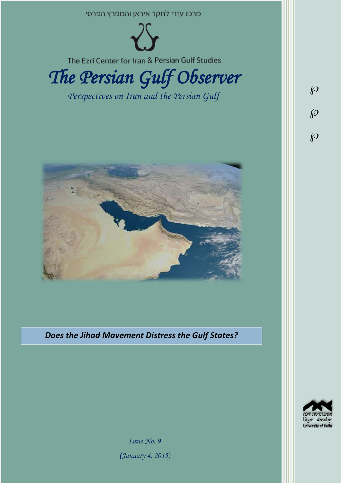

*Does the Jihad Movement Distress the Gulf States?*



*Issue No. 9*

*)January 4, 2015)*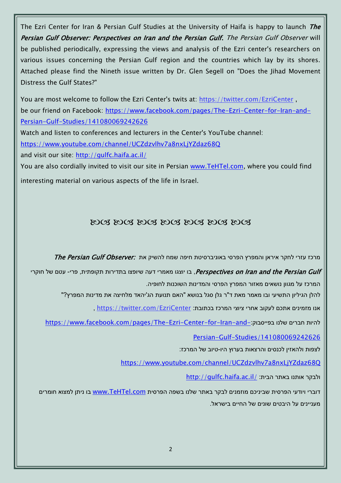The Ezri Center for Iran & Persian Gulf Studies at the University of Haifa is happy to launch The Persian Gulf Observer: Perspectives on Iran and the Persian Gulf. The Persian Gulf Observer will be published periodically, expressing the views and analysis of the Ezri center's researchers on various issues concerning the Persian Gulf region and the countries which lay by its shores. Attached please find the Nineth issue written by Dr. Glen Segell on "Does the Jihad Movement Distress the Gulf States?"

You are most welcome to follow the Ezri Center's twits at: <https://twitter.com/EzriCenter> , be our friend on Facebook: [https://www.facebook.com/pages/The-Ezri-Center-for-Iran-and-](https://www.facebook.com/pages/The-Ezri-Center-for-Iran-and-Persian-Gulf-Studies/141080069242626)[Persian-Gulf-Studies/141080069242626](https://www.facebook.com/pages/The-Ezri-Center-for-Iran-and-Persian-Gulf-Studies/141080069242626)

Watch and listen to conferences and lecturers in the Center's YouTube channel: <https://www.youtube.com/channel/UCZdzvlhv7a8nxLjYZdaz68Q> and visit our site:<http://gulfc.haifa.ac.il/>

You are also cordially invited to visit our site in Persian [www.TeHTel.com,](http://www.tehtel.com/) where you could find

interesting material on various aspects of the life in Israel.

# DOG DOG DOG DOG DOG DOG DOG

מרכז עזרי לחקר איראן והמפרץ הפרסי באוניברסיטת חיפה שמח להשיק את :*The Persian Gulf Observer* 

Perspectives on Iran and the Persian Gulf בו יוצגו מאמרי דעה שיופצו בתדירות תקופתית, פרי- עטם של חוקרי, המרכז על מגוון נושאים מאזור המפרץ הפרסי והמדינות השוכנות לחופיה.

להלן הגיליון התשיעי ובו מאמר מאת ד"ר גלן סגל בנושא "האם תנועת הג'יהאד מלחיצה את מדינות המפרץ?"

אנו מזמינים אתכם לעקוב אחרי ציוצי המרכז בכתובת: [EzriCenter/com.twitter://https](https://twitter.com/EzriCenter) ,

[https://www.facebook.com/pages/The-Ezri-Center-for-Iran-and-](https://www.facebook.com/pages/The-Ezri-Center-for-Iran-and-Persian-Gulf-Studies/141080069242626)

[Persian-Gulf-Studies/141080069242626](https://www.facebook.com/pages/The-Ezri-Center-for-Iran-and-Persian-Gulf-Studies/141080069242626)

לצפות ולהאזין לכנסים והרצאות בערוץ היו-טיוב של המרכז:

<https://www.youtube.com/channel/UCZdzvlhv7a8nxLjYZdaz68Q>

<http://gulfc.haifa.ac.il/> ולבקר אותנו באתר הבית:

דוברי ויודעי הפרסית שביניכם מוזמנים לבקר באתר שלנו בשפה הפרסית www.TeHTel.com בו ניתן למצוא חומרים מעניינים על היבטים שונים של החיים בישראל.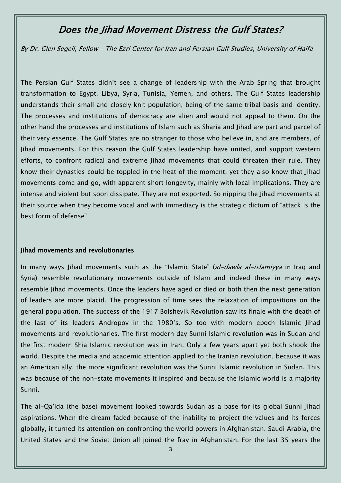# Does the Jihad Movement Distress the Gulf States?

By Dr. Glen Segell, Fellow – The Ezri Center for Iran and Persian Gulf Studies, University of Haifa

The Persian Gulf States didn't see a change of leadership with the Arab Spring that brought transformation to Egypt, Libya, Syria, Tunisia, Yemen, and others. The Gulf States leadership understands their small and closely knit population, being of the same tribal basis and identity. The processes and institutions of democracy are alien and would not appeal to them. On the other hand the processes and institutions of Islam such as Sharia and Jihad are part and parcel of their very essence. The Gulf States are no stranger to those who believe in, and are members, of Jihad movements. For this reason the Gulf States leadership have united, and support western efforts, to confront radical and extreme Jihad movements that could threaten their rule. They know their dynasties could be toppled in the heat of the moment, yet they also know that Jihad movements come and go, with apparent short longevity, mainly with local implications. They are intense and violent but soon dissipate. They are not exported. So nipping the Jihad movements at their source when they become vocal and with immediacy is the strategic dictum of "attack is the best form of defense"

#### Jihad movements and revolutionaries

In many ways Jihad movements such as the "Islamic State" (al-dawla al-islamiyya in Iraq and Syria) resemble revolutionary movements outside of Islam and indeed these in many ways resemble Jihad movements. Once the leaders have aged or died or both then the next generation of leaders are more placid. The progression of time sees the relaxation of impositions on the general population. The success of the 1917 Bolshevik Revolution saw its finale with the death of the last of its leaders Andropov in the 1980's. So too with modern epoch Islamic Jihad movements and revolutionaries. The first modern day Sunni Islamic revolution was in Sudan and the first modern Shia Islamic revolution was in Iran. Only a few years apart yet both shook the world. Despite the media and academic attention applied to the Iranian revolution, because it was an American ally, the more significant revolution was the Sunni Islamic revolution in Sudan. This was because of the non-state movements it inspired and because the Islamic world is a majority Sunni.

The al-Qa'ida (the base) movement looked towards Sudan as a base for its global Sunni Jihad aspirations. When the dream faded because of the inability to project the values and its forces globally, it turned its attention on confronting the world powers in Afghanistan. Saudi Arabia, the United States and the Soviet Union all joined the fray in Afghanistan. For the last 35 years the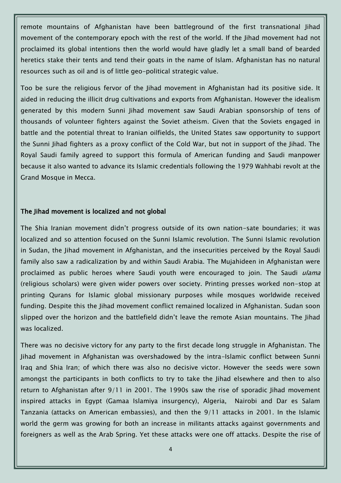remote mountains of Afghanistan have been battleground of the first transnational Jihad movement of the contemporary epoch with the rest of the world. If the Jihad movement had not proclaimed its global intentions then the world would have gladly let a small band of bearded heretics stake their tents and tend their goats in the name of Islam. Afghanistan has no natural resources such as oil and is of little geo-political strategic value.

Too be sure the religious fervor of the Jihad movement in Afghanistan had its positive side. It aided in reducing the illicit drug cultivations and exports from Afghanistan. However the idealism generated by this modern Sunni Jihad movement saw Saudi Arabian sponsorship of tens of thousands of volunteer fighters against the Soviet atheism. Given that the Soviets engaged in battle and the potential threat to Iranian oilfields, the United States saw opportunity to support the Sunni Jihad fighters as a proxy conflict of the Cold War, but not in support of the Jihad. The Royal Saudi family agreed to support this formula of American funding and Saudi manpower because it also wanted to advance its Islamic credentials following the 1979 Wahhabi revolt at the Grand Mosque in Mecca.

## The Jihad movement is localized and not global

The Shia Iranian movement didn't progress outside of its own nation-sate boundaries; it was localized and so attention focused on the Sunni Islamic revolution. The Sunni Islamic revolution in Sudan, the Jihad movement in Afghanistan, and the insecurities perceived by the Royal Saudi family also saw a radicalization by and within Saudi Arabia. The Mujahideen in Afghanistan were proclaimed as public heroes where Saudi youth were encouraged to join. The Saudi *ulama* (religious scholars) were given wider powers over society. Printing presses worked non-stop at printing Qurans for Islamic global missionary purposes while mosques worldwide received funding. Despite this the Jihad movement conflict remained localized in Afghanistan. Sudan soon slipped over the horizon and the battlefield didn't leave the remote Asian mountains. The Jihad was localized.

There was no decisive victory for any party to the first decade long struggle in Afghanistan. The Jihad movement in Afghanistan was overshadowed by the intra-Islamic conflict between Sunni Iraq and Shia Iran; of which there was also no decisive victor. However the seeds were sown amongst the participants in both conflicts to try to take the Jihad elsewhere and then to also return to Afghanistan after 9/11 in 2001. The 1990s saw the rise of sporadic Jihad movement inspired attacks in Egypt (Gamaa Islamiya insurgency), Algeria, Nairobi and Dar es Salam Tanzania (attacks on American embassies), and then the 9/11 attacks in 2001. In the Islamic world the germ was growing for both an increase in militants attacks against governments and foreigners as well as the Arab Spring. Yet these attacks were one off attacks. Despite the rise of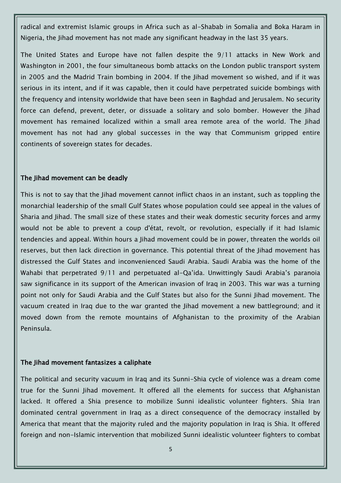radical and extremist Islamic groups in Africa such as al-Shabab in Somalia and Boka Haram in Nigeria, the Jihad movement has not made any significant headway in the last 35 years.

The United States and Europe have not fallen despite the 9/11 attacks in New Work and Washington in 2001, the four simultaneous bomb attacks on the London public transport system in 2005 and the Madrid Train bombing in 2004. If the Jihad movement so wished, and if it was serious in its intent, and if it was capable, then it could have perpetrated suicide bombings with the frequency and intensity worldwide that have been seen in Baghdad and Jerusalem. No security force can defend, prevent, deter, or dissuade a solitary and solo bomber. However the Jihad movement has remained localized within a small area remote area of the world. The Jihad movement has not had any global successes in the way that Communism gripped entire continents of sovereign states for decades.

#### The Jihad movement can be deadly

This is not to say that the Jihad movement cannot inflict chaos in an instant, such as toppling the monarchial leadership of the small Gulf States whose population could see appeal in the values of Sharia and Jihad. The small size of these states and their weak domestic security forces and army would not be able to prevent a coup d'état, revolt, or revolution, especially if it had Islamic tendencies and appeal. Within hours a Jihad movement could be in power, threaten the worlds oil reserves, but then lack direction in governance. This potential threat of the Jihad movement has distressed the Gulf States and inconvenienced Saudi Arabia. Saudi Arabia was the home of the Wahabi that perpetrated 9/11 and perpetuated al-Qa'ida. Unwittingly Saudi Arabia's paranoia saw significance in its support of the American invasion of Iraq in 2003. This war was a turning point not only for Saudi Arabia and the Gulf States but also for the Sunni Jihad movement. The vacuum created in Iraq due to the war granted the Jihad movement a new battleground; and it moved down from the remote mountains of Afghanistan to the proximity of the Arabian Peninsula.

#### The Jihad movement fantasizes a caliphate

The political and security vacuum in Iraq and its Sunni-Shia cycle of violence was a dream come true for the Sunni Jihad movement. It offered all the elements for success that Afghanistan lacked. It offered a Shia presence to mobilize Sunni idealistic volunteer fighters. Shia Iran dominated central government in Iraq as a direct consequence of the democracy installed by America that meant that the majority ruled and the majority population in Iraq is Shia. It offered foreign and non-Islamic intervention that mobilized Sunni idealistic volunteer fighters to combat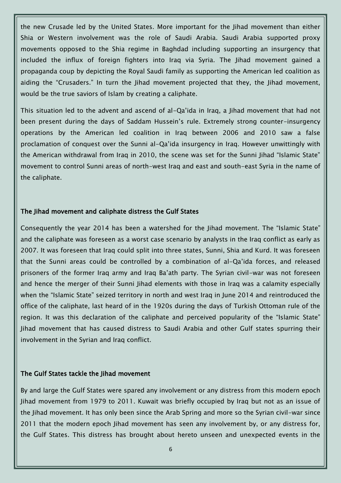the new Crusade led by the United States. More important for the Jihad movement than either Shia or Western involvement was the role of Saudi Arabia. Saudi Arabia supported proxy movements opposed to the Shia regime in Baghdad including supporting an insurgency that included the influx of foreign fighters into Iraq via Syria. The Jihad movement gained a propaganda coup by depicting the Royal Saudi family as supporting the American led coalition as aiding the "Crusaders." In turn the Jihad movement projected that they, the Jihad movement, would be the true saviors of Islam by creating a caliphate.

This situation led to the advent and ascend of al-Qa'ida in Iraq, a Jihad movement that had not been present during the days of Saddam Hussein's rule. Extremely strong counter-insurgency operations by the American led coalition in Iraq between 2006 and 2010 saw a false proclamation of conquest over the Sunni al-Qa'ida insurgency in Iraq. However unwittingly with the American withdrawal from Iraq in 2010, the scene was set for the Sunni Jihad "Islamic State" movement to control Sunni areas of north-west Iraq and east and south-east Syria in the name of the caliphate.

## The Jihad movement and caliphate distress the Gulf States

Consequently the year 2014 has been a watershed for the Jihad movement. The "Islamic State" and the caliphate was foreseen as a worst case scenario by analysts in the Iraq conflict as early as 2007. It was foreseen that Iraq could split into three states, Sunni, Shia and Kurd. It was foreseen that the Sunni areas could be controlled by a combination of al-Qa'ida forces, and released prisoners of the former Iraq army and Iraq Ba'ath party. The Syrian civil-war was not foreseen and hence the merger of their Sunni Jihad elements with those in Iraq was a calamity especially when the "Islamic State" seized territory in north and west Iraq in June 2014 and reintroduced the office of the caliphate, last heard of in the 1920s during the days of Turkish Ottoman rule of the region. It was this declaration of the caliphate and perceived popularity of the "Islamic State" Jihad movement that has caused distress to Saudi Arabia and other Gulf states spurring their involvement in the Syrian and Iraq conflict.

#### The Gulf States tackle the Jihad movement

By and large the Gulf States were spared any involvement or any distress from this modern epoch Jihad movement from 1979 to 2011. Kuwait was briefly occupied by Iraq but not as an issue of the Jihad movement. It has only been since the Arab Spring and more so the Syrian civil-war since 2011 that the modern epoch Jihad movement has seen any involvement by, or any distress for, the Gulf States. This distress has brought about hereto unseen and unexpected events in the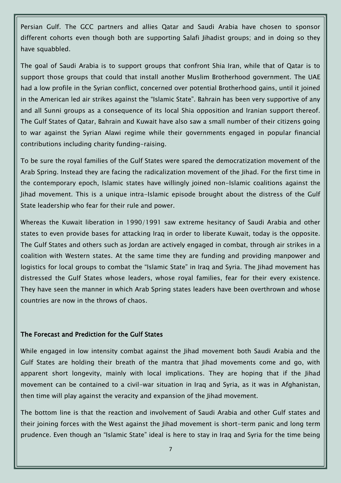Persian Gulf. The GCC partners and allies Qatar and Saudi Arabia have chosen to sponsor different cohorts even though both are supporting Salafi Jihadist groups; and in doing so they have squabbled.

The goal of Saudi Arabia is to support groups that confront Shia Iran, while that of Qatar is to support those groups that could that install another Muslim Brotherhood government. The UAE had a low profile in the Syrian conflict, concerned over potential Brotherhood gains, until it joined in the American led air strikes against the "Islamic State". Bahrain has been very supportive of any and all Sunni groups as a consequence of its local Shia opposition and Iranian support thereof. The Gulf States of Qatar, Bahrain and Kuwait have also saw a small number of their citizens going to war against the Syrian Alawi regime while their governments engaged in popular financial contributions including charity funding-raising.

To be sure the royal families of the Gulf States were spared the democratization movement of the Arab Spring. Instead they are facing the radicalization movement of the Jihad. For the first time in the contemporary epoch, Islamic states have willingly joined non-Islamic coalitions against the Jihad movement. This is a unique intra-Islamic episode brought about the distress of the Gulf State leadership who fear for their rule and power.

Whereas the Kuwait liberation in 1990/1991 saw extreme hesitancy of Saudi Arabia and other states to even provide bases for attacking Iraq in order to liberate Kuwait, today is the opposite. The Gulf States and others such as Jordan are actively engaged in combat, through air strikes in a coalition with Western states. At the same time they are funding and providing manpower and logistics for local groups to combat the "Islamic State" in Irag and Syria. The Jihad movement has distressed the Gulf States whose leaders, whose royal families, fear for their every existence. They have seen the manner in which Arab Spring states leaders have been overthrown and whose countries are now in the throws of chaos.

# The Forecast and Prediction for the Gulf States

While engaged in low intensity combat against the Jihad movement both Saudi Arabia and the Gulf States are holding their breath of the mantra that Jihad movements come and go, with apparent short longevity, mainly with local implications. They are hoping that if the Jihad movement can be contained to a civil-war situation in Iraq and Syria, as it was in Afghanistan, then time will play against the veracity and expansion of the Jihad movement.

The bottom line is that the reaction and involvement of Saudi Arabia and other Gulf states and their joining forces with the West against the Jihad movement is short-term panic and long term prudence. Even though an "Islamic State" ideal is here to stay in Iraq and Syria for the time being